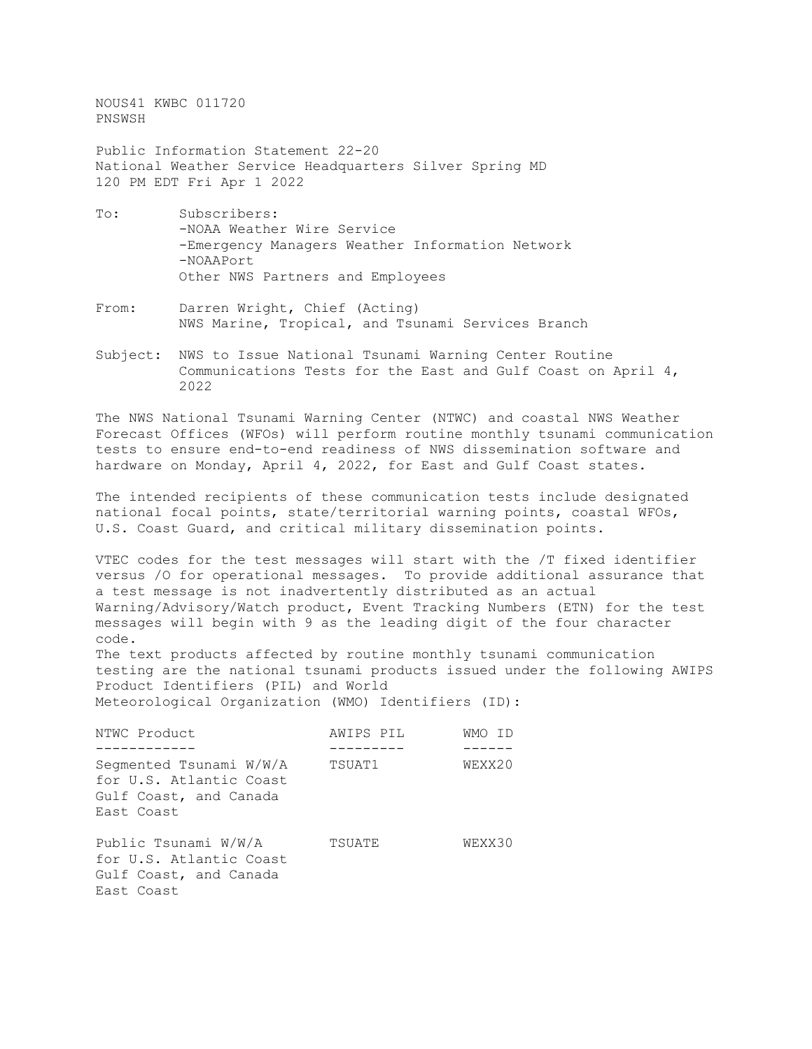NOUS41 KWBC 011720 PNSWSH

Public Information Statement 22-20 National Weather Service Headquarters Silver Spring MD 120 PM EDT Fri Apr 1 2022

- To: Subscribers: -NOAA Weather Wire Service -Emergency Managers Weather Information Network -NOAAPort Other NWS Partners and Employees
- From: Darren Wright, Chief (Acting) NWS Marine, Tropical, and Tsunami Services Branch
- Subject: NWS to Issue National Tsunami Warning Center Routine Communications Tests for the East and Gulf Coast on April 4, 2022

The NWS National Tsunami Warning Center (NTWC) and coastal NWS Weather Forecast Offices (WFOs) will perform routine monthly tsunami communication tests to ensure end-to-end readiness of NWS dissemination software and hardware on Monday, April 4, 2022, for East and Gulf Coast states.

The intended recipients of these communication tests include designated national focal points, state/territorial warning points, coastal WFOs, U.S. Coast Guard, and critical military dissemination points.

VTEC codes for the test messages will start with the /T fixed identifier versus /O for operational messages. To provide additional assurance that a test message is not inadvertently distributed as an actual Warning/Advisory/Watch product, Event Tracking Numbers (ETN) for the test messages will begin with 9 as the leading digit of the four character code.

The text products affected by routine monthly tsunami communication testing are the national tsunami products issued under the following AWIPS Product Identifiers (PIL) and World Meteorological Organization (WMO) Identifiers (ID):

| NTWC Product                                                                               | AWIPS PIL | WMO ID |
|--------------------------------------------------------------------------------------------|-----------|--------|
| Segmented Tsunami W/W/A<br>for U.S. Atlantic Coast<br>Gulf Coast, and Canada<br>East Coast | TSUAT1    | WEXX20 |
| Public Tsunami W/W/A<br>for U.S. Atlantic Coast<br>Gulf Coast, and Canada<br>East Coast    | TSUATE    | WEXX30 |